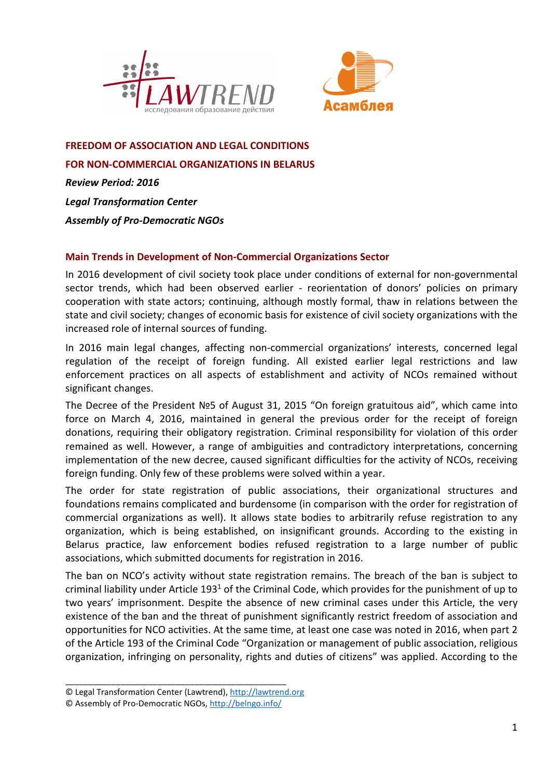



#### **FREEDOM OF ASSOCIATION AND LEGAL CONDITIONS**

**FOR NON-COMMERCIAL ORGANIZATIONS IN BELARUS** 

*Review Period: 2016 Legal Transformation Center Assembly of Pro-Democratic NGOs* 

## **Main Trends in Development of Non-Commercial Organizations Sector**

In 2016 development of civil society took place under conditions of external for non-governmental sector trends, which had been observed earlier - reorientation of donors' policies on primary cooperation with state actors; continuing, although mostly formal, thaw in relations between the state and civil society; changes of economic basis for existence of civil society organizations with the increased role of internal sources of funding.

In 2016 main legal changes, affecting non-commercial organizations' interests, concerned legal regulation of the receipt of foreign funding. All existed earlier legal restrictions and law enforcement practices on all aspects of establishment and activity of NCOs remained without significant changes.

The Decree of the President №5 of August 31, 2015 "On foreign gratuitous aid", which came into force on March 4, 2016, maintained in general the previous order for the receipt of foreign donations, requiring their obligatory registration. Criminal responsibility for violation of this order remained as well. However, a range of ambiguities and contradictory interpretations, concerning implementation of the new decree, caused significant difficulties for the activity of NCOs, receiving foreign funding. Only few of these problems were solved within a year.

The order for state registration of public associations, their organizational structures and foundations remains complicated and burdensome (in comparison with the order for registration of commercial organizations as well). It allows state bodies to arbitrarily refuse registration to any organization, which is being established, on insignificant grounds. According to the existing in Belarus practice, law enforcement bodies refused registration to a large number of public associations, which submitted documents for registration in 2016.

The ban on NCO's activity without state registration remains. The breach of the ban is subject to criminal liability under Article 193<sup>1</sup> of the Criminal Code, which provides for the punishment of up to two years' imprisonment. Despite the absence of new criminal cases under this Article, the very existence of the ban and the threat of punishment significantly restrict freedom of association and opportunities for NCO activities. At the same time, at least one case was noted in 2016, when part 2 of the Article 193 of the Criminal Code "Organization or management of public association, religious organization, infringing on personality, rights and duties of citizens" was applied. According to the

<sup>©</sup> Legal Transformation Center (Lawtrend), http://lawtrend.org

<sup>©</sup> Assembly of Pro-Democratic NGOs, http://belngo.info/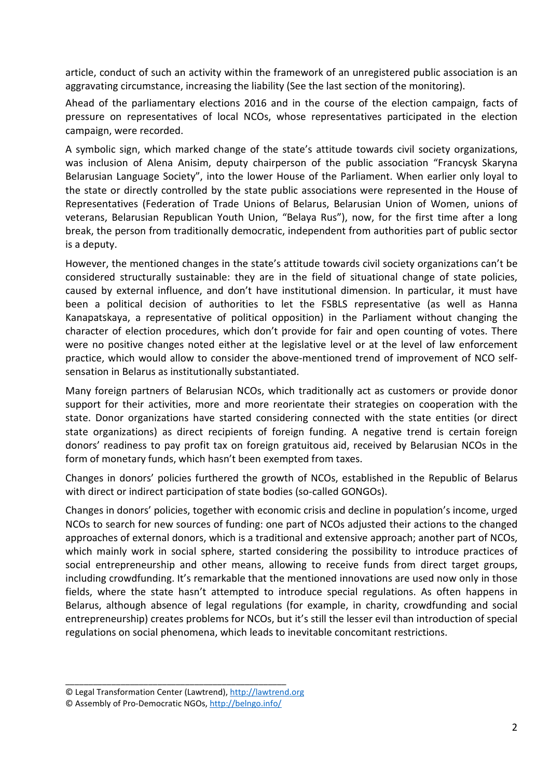article, conduct of such an activity within the framework of an unregistered public association is an aggravating circumstance, increasing the liability (See the last section of the monitoring).

Ahead of the parliamentary elections 2016 and in the course of the election campaign, facts of pressure on representatives of local NCOs, whose representatives participated in the election campaign, were recorded.

A symbolic sign, which marked change of the state's attitude towards civil society organizations, was inclusion of Alena Anisim, deputy chairperson of the public association "Francysk Skaryna Belarusian Language Society", into the lower House of the Parliament. When earlier only loyal to the state or directly controlled by the state public associations were represented in the House of Representatives (Federation of Trade Unions of Belarus, Belarusian Union of Women, unions of veterans, Belarusian Republican Youth Union, "Belaya Rus"), now, for the first time after a long break, the person from traditionally democratic, independent from authorities part of public sector is a deputy.

However, the mentioned changes in the state's attitude towards civil society organizations can't be considered structurally sustainable: they are in the field of situational change of state policies, caused by external influence, and don't have institutional dimension. In particular, it must have been a political decision of authorities to let the FSBLS representative (as well as Hanna Kanapatskaya, a representative of political opposition) in the Parliament without changing the character of election procedures, which don't provide for fair and open counting of votes. There were no positive changes noted either at the legislative level or at the level of law enforcement practice, which would allow to consider the above-mentioned trend of improvement of NCO selfsensation in Belarus as institutionally substantiated.

Many foreign partners of Belarusian NCOs, which traditionally act as customers or provide donor support for their activities, more and more reorientate their strategies on cooperation with the state. Donor organizations have started considering connected with the state entities (or direct state organizations) as direct recipients of foreign funding. A negative trend is certain foreign donors' readiness to pay profit tax on foreign gratuitous aid, received by Belarusian NCOs in the form of monetary funds, which hasn't been exempted from taxes.

Changes in donors' policies furthered the growth of NCOs, established in the Republic of Belarus with direct or indirect participation of state bodies (so-called GONGOs).

Changes in donors' policies, together with economic crisis and decline in population's income, urged NCOs to search for new sources of funding: one part of NCOs adjusted their actions to the changed approaches of external donors, which is a traditional and extensive approach; another part of NCOs, which mainly work in social sphere, started considering the possibility to introduce practices of social entrepreneurship and other means, allowing to receive funds from direct target groups, including crowdfunding. It's remarkable that the mentioned innovations are used now only in those fields, where the state hasn't attempted to introduce special regulations. As often happens in Belarus, although absence of legal regulations (for example, in charity, crowdfunding and social entrepreneurship) creates problems for NCOs, but it's still the lesser evil than introduction of special regulations on social phenomena, which leads to inevitable concomitant restrictions.

<sup>©</sup> Legal Transformation Center (Lawtrend), http://lawtrend.org

<sup>©</sup> Assembly of Pro-Democratic NGOs, http://belngo.info/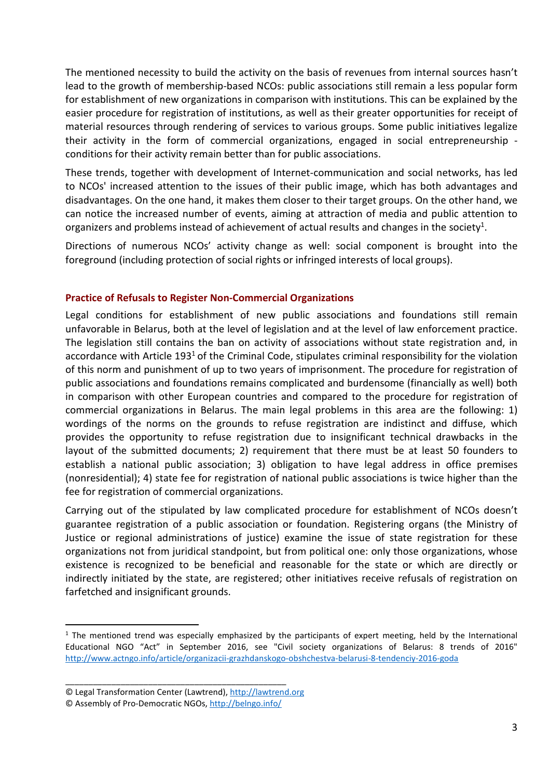The mentioned necessity to build the activity on the basis of revenues from internal sources hasn't lead to the growth of membership-based NCOs: public associations still remain a less popular form for establishment of new organizations in comparison with institutions. This can be explained by the easier procedure for registration of institutions, as well as their greater opportunities for receipt of material resources through rendering of services to various groups. Some public initiatives legalize their activity in the form of commercial organizations, engaged in social entrepreneurship conditions for their activity remain better than for public associations.

These trends, together with development of Internet-communication and social networks, has led to NCOs' increased attention to the issues of their public image, which has both advantages and disadvantages. On the one hand, it makes them closer to their target groups. On the other hand, we can notice the increased number of events, aiming at attraction of media and public attention to organizers and problems instead of achievement of actual results and changes in the society<sup>1</sup>.

Directions of numerous NCOs' activity change as well: social component is brought into the foreground (including protection of social rights or infringed interests of local groups).

# **Practice of Refusals to Register Non-Commercial Organizations**

Legal conditions for establishment of new public associations and foundations still remain unfavorable in Belarus, both at the level of legislation and at the level of law enforcement practice. The legislation still contains the ban on activity of associations without state registration and, in accordance with Article 193<sup>1</sup> of the Criminal Code, stipulates criminal responsibility for the violation of this norm and punishment of up to two years of imprisonment. The procedure for registration of public associations and foundations remains complicated and burdensome (financially as well) both in comparison with other European countries and compared to the procedure for registration of commercial organizations in Belarus. The main legal problems in this area are the following: 1) wordings of the norms on the grounds to refuse registration are indistinct and diffuse, which provides the opportunity to refuse registration due to insignificant technical drawbacks in the layout of the submitted documents; 2) requirement that there must be at least 50 founders to establish a national public association; 3) obligation to have legal address in office premises (nonresidential); 4) state fee for registration of national public associations is twice higher than the fee for registration of commercial organizations.

Carrying out of the stipulated by law complicated procedure for establishment of NCOs doesn't guarantee registration of a public association or foundation. Registering organs (the Ministry of Justice or regional administrations of justice) examine the issue of state registration for these organizations not from juridical standpoint, but from political one: only those organizations, whose existence is recognized to be beneficial and reasonable for the state or which are directly or indirectly initiated by the state, are registered; other initiatives receive refusals of registration on farfetched and insignificant grounds.

\_\_\_\_\_\_\_\_\_\_\_\_\_\_\_\_\_\_\_\_\_\_\_\_\_\_\_\_\_\_\_\_\_\_\_\_\_\_\_\_\_\_\_\_\_\_\_\_

 $\overline{\phantom{a}}$ 

<sup>&</sup>lt;sup>1</sup> The mentioned trend was especially emphasized by the participants of expert meeting, held by the International Educational NGO "Act" in September 2016, see "Civil society organizations of Belarus: 8 trends of 2016" http://www.actngo.info/article/organizacii-grazhdanskogo-obshchestva-belarusi-8-tendenciy-2016-goda

<sup>©</sup> Legal Transformation Center (Lawtrend), http://lawtrend.org

<sup>©</sup> Assembly of Pro-Democratic NGOs, http://belngo.info/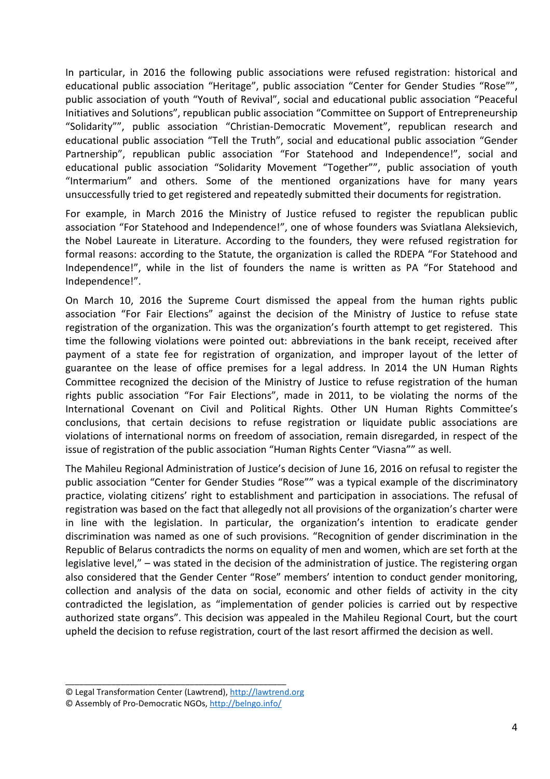In particular, in 2016 the following public associations were refused registration: historical and educational public association "Heritage", public association "Center for Gender Studies "Rose"", public association of youth "Youth of Revival", social and educational public association "Peaceful Initiatives and Solutions", republican public association "Committee on Support of Entrepreneurship "Solidarity"", public association "Christian-Democratic Movement", republican research and educational public association "Tell the Truth", social and educational public association "Gender Partnership", republican public association "For Statehood and Independence!", social and educational public association "Solidarity Movement "Together"", public association of youth "Intermarium" and others. Some of the mentioned organizations have for many years unsuccessfully tried to get registered and repeatedly submitted their documents for registration.

For example, in March 2016 the Ministry of Justice refused to register the republican public association "For Statehood and Independence!", one of whose founders was Sviatlana Aleksievich, the Nobel Laureate in Literature. According to the founders, they were refused registration for formal reasons: according to the Statute, the organization is called the RDEPA "For Statehood and Independence!", while in the list of founders the name is written as PA "For Statehood and Independence!".

On March 10, 2016 the Supreme Court dismissed the appeal from the human rights public association "For Fair Elections" against the decision of the Ministry of Justice to refuse state registration of the organization. This was the organization's fourth attempt to get registered. This time the following violations were pointed out: abbreviations in the bank receipt, received after payment of a state fee for registration of organization, and improper layout of the letter of guarantee on the lease of office premises for a legal address. In 2014 the UN Human Rights Committee recognized the decision of the Ministry of Justice to refuse registration of the human rights public association "For Fair Elections", made in 2011, to be violating the norms of the International Covenant on Civil and Political Rights. Other UN Human Rights Committee's conclusions, that certain decisions to refuse registration or liquidate public associations are violations of international norms on freedom of association, remain disregarded, in respect of the issue of registration of the public association "Human Rights Center "Viasna"" as well.

The Mahileu Regional Administration of Justice's decision of June 16, 2016 on refusal to register the public association "Center for Gender Studies "Rose"" was a typical example of the discriminatory practice, violating citizens' right to establishment and participation in associations. The refusal of registration was based on the fact that allegedly not all provisions of the organization's charter were in line with the legislation. In particular, the organization's intention to eradicate gender discrimination was named as one of such provisions. "Recognition of gender discrimination in the Republic of Belarus contradicts the norms on equality of men and women, which are set forth at the legislative level," – was stated in the decision of the administration of justice. The registering organ also considered that the Gender Center "Rose" members' intention to conduct gender monitoring, collection and analysis of the data on social, economic and other fields of activity in the city contradicted the legislation, as "implementation of gender policies is carried out by respective authorized state organs". This decision was appealed in the Mahileu Regional Court, but the court upheld the decision to refuse registration, court of the last resort affirmed the decision as well.

<sup>©</sup> Legal Transformation Center (Lawtrend), http://lawtrend.org

<sup>©</sup> Assembly of Pro-Democratic NGOs, http://belngo.info/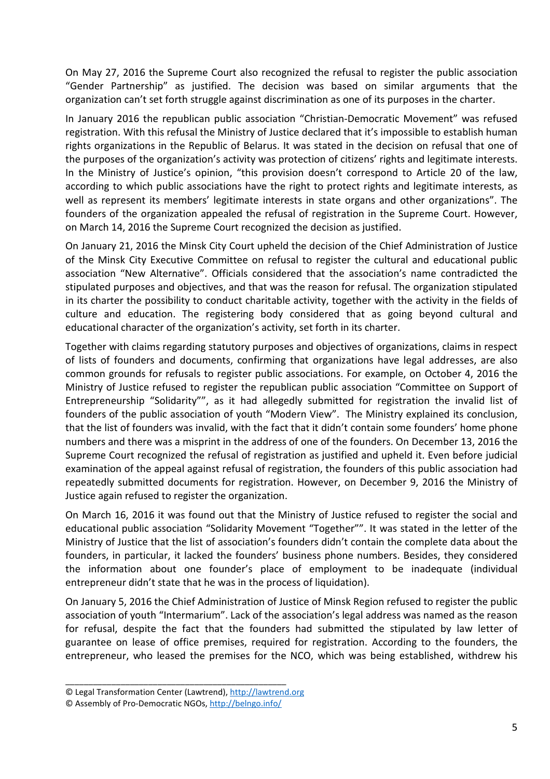On May 27, 2016 the Supreme Court also recognized the refusal to register the public association "Gender Partnership" as justified. The decision was based on similar arguments that the organization can't set forth struggle against discrimination as one of its purposes in the charter.

In January 2016 the republican public association "Christian-Democratic Movement" was refused registration. With this refusal the Ministry of Justice declared that it's impossible to establish human rights organizations in the Republic of Belarus. It was stated in the decision on refusal that one of the purposes of the organization's activity was protection of citizens' rights and legitimate interests. In the Ministry of Justice's opinion, "this provision doesn't correspond to Article 20 of the law, according to which public associations have the right to protect rights and legitimate interests, as well as represent its members' legitimate interests in state organs and other organizations". The founders of the organization appealed the refusal of registration in the Supreme Court. However, on March 14, 2016 the Supreme Court recognized the decision as justified.

On January 21, 2016 the Minsk City Court upheld the decision of the Chief Administration of Justice of the Minsk City Executive Committee on refusal to register the cultural and educational public association "New Alternative". Officials considered that the association's name contradicted the stipulated purposes and objectives, and that was the reason for refusal. The organization stipulated in its charter the possibility to conduct charitable activity, together with the activity in the fields of culture and education. The registering body considered that as going beyond cultural and educational character of the organization's activity, set forth in its charter.

Together with claims regarding statutory purposes and objectives of organizations, claims in respect of lists of founders and documents, confirming that organizations have legal addresses, are also common grounds for refusals to register public associations. For example, on October 4, 2016 the Ministry of Justice refused to register the republican public association "Committee on Support of Entrepreneurship "Solidarity"", as it had allegedly submitted for registration the invalid list of founders of the public association of youth "Modern View". The Ministry explained its conclusion, that the list of founders was invalid, with the fact that it didn't contain some founders' home phone numbers and there was a misprint in the address of one of the founders. On December 13, 2016 the Supreme Court recognized the refusal of registration as justified and upheld it. Even before judicial examination of the appeal against refusal of registration, the founders of this public association had repeatedly submitted documents for registration. However, on December 9, 2016 the Ministry of Justice again refused to register the organization.

On March 16, 2016 it was found out that the Ministry of Justice refused to register the social and educational public association "Solidarity Movement "Together"". It was stated in the letter of the Ministry of Justice that the list of association's founders didn't contain the complete data about the founders, in particular, it lacked the founders' business phone numbers. Besides, they considered the information about one founder's place of employment to be inadequate (individual entrepreneur didn't state that he was in the process of liquidation).

On January 5, 2016 the Chief Administration of Justice of Minsk Region refused to register the public association of youth "Intermarium". Lack of the association's legal address was named as the reason for refusal, despite the fact that the founders had submitted the stipulated by law letter of guarantee on lease of office premises, required for registration. According to the founders, the entrepreneur, who leased the premises for the NCO, which was being established, withdrew his

<sup>©</sup> Legal Transformation Center (Lawtrend), http://lawtrend.org

<sup>©</sup> Assembly of Pro-Democratic NGOs, http://belngo.info/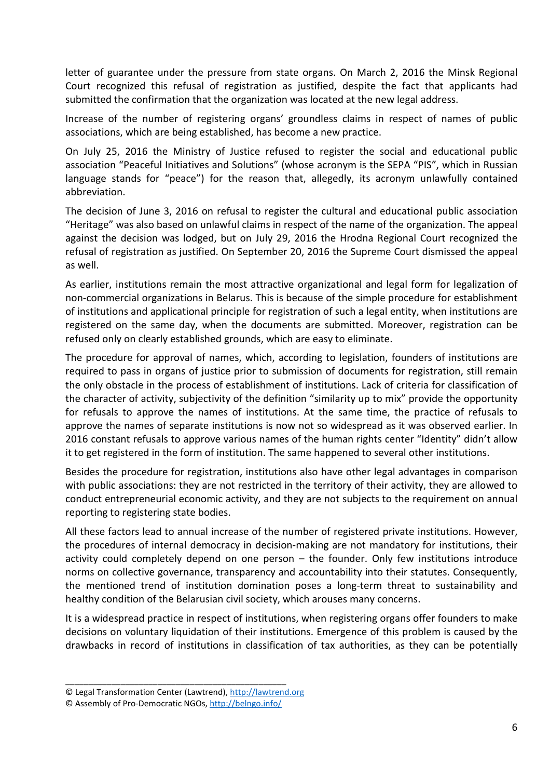letter of guarantee under the pressure from state organs. On March 2, 2016 the Minsk Regional Court recognized this refusal of registration as justified, despite the fact that applicants had submitted the confirmation that the organization was located at the new legal address.

Increase of the number of registering organs' groundless claims in respect of names of public associations, which are being established, has become a new practice.

On July 25, 2016 the Ministry of Justice refused to register the social and educational public association "Peaceful Initiatives and Solutions" (whose acronym is the SEPA "PIS", which in Russian language stands for "peace") for the reason that, allegedly, its acronym unlawfully contained abbreviation.

The decision of June 3, 2016 on refusal to register the cultural and educational public association "Heritage" was also based on unlawful claims in respect of the name of the organization. The appeal against the decision was lodged, but on July 29, 2016 the Hrodna Regional Court recognized the refusal of registration as justified. On September 20, 2016 the Supreme Court dismissed the appeal as well.

As earlier, institutions remain the most attractive organizational and legal form for legalization of non-commercial organizations in Belarus. This is because of the simple procedure for establishment of institutions and applicational principle for registration of such a legal entity, when institutions are registered on the same day, when the documents are submitted. Moreover, registration can be refused only on clearly established grounds, which are easy to eliminate.

The procedure for approval of names, which, according to legislation, founders of institutions are required to pass in organs of justice prior to submission of documents for registration, still remain the only obstacle in the process of establishment of institutions. Lack of criteria for classification of the character of activity, subjectivity of the definition "similarity up to mix" provide the opportunity for refusals to approve the names of institutions. At the same time, the practice of refusals to approve the names of separate institutions is now not so widespread as it was observed earlier. In 2016 constant refusals to approve various names of the human rights center "Identity" didn't allow it to get registered in the form of institution. The same happened to several other institutions.

Besides the procedure for registration, institutions also have other legal advantages in comparison with public associations: they are not restricted in the territory of their activity, they are allowed to conduct entrepreneurial economic activity, and they are not subjects to the requirement on annual reporting to registering state bodies.

All these factors lead to annual increase of the number of registered private institutions. However, the procedures of internal democracy in decision-making are not mandatory for institutions, their activity could completely depend on one person – the founder. Only few institutions introduce norms on collective governance, transparency and accountability into their statutes. Consequently, the mentioned trend of institution domination poses a long-term threat to sustainability and healthy condition of the Belarusian civil society, which arouses many concerns.

It is a widespread practice in respect of institutions, when registering organs offer founders to make decisions on voluntary liquidation of their institutions. Emergence of this problem is caused by the drawbacks in record of institutions in classification of tax authorities, as they can be potentially

<sup>©</sup> Legal Transformation Center (Lawtrend), http://lawtrend.org

<sup>©</sup> Assembly of Pro-Democratic NGOs, http://belngo.info/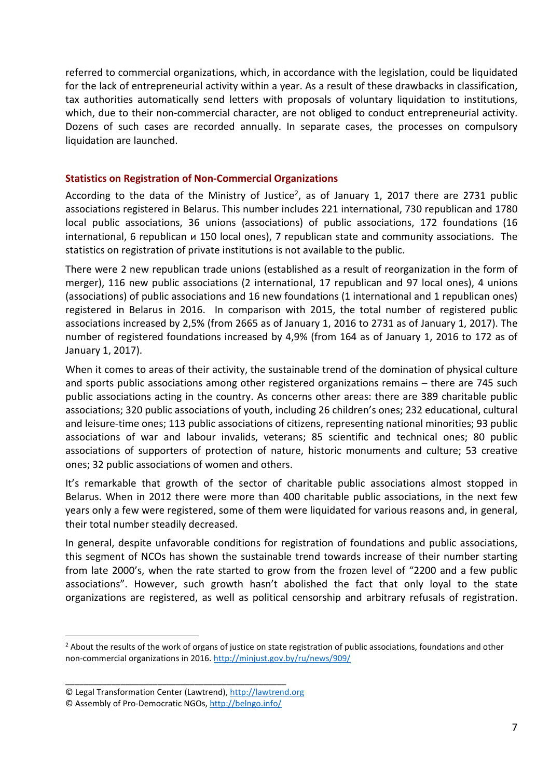referred to commercial organizations, which, in accordance with the legislation, could be liquidated for the lack of entrepreneurial activity within a year. As a result of these drawbacks in classification, tax authorities automatically send letters with proposals of voluntary liquidation to institutions, which, due to their non-commercial character, are not obliged to conduct entrepreneurial activity. Dozens of such cases are recorded annually. In separate cases, the processes on compulsory liquidation are launched.

## **Statistics on Registration of Non-Commercial Organizations**

According to the data of the Ministry of Justice<sup>2</sup>, as of January 1, 2017 there are 2731 public associations registered in Belarus. This number includes 221 international, 730 republican and 1780 local public associations, 36 unions (associations) of public associations, 172 foundations (16 international, 6 republican и 150 local ones), 7 republican state and community associations. The statistics on registration of private institutions is not available to the public.

There were 2 new republican trade unions (established as a result of reorganization in the form of merger), 116 new public associations (2 international, 17 republican and 97 local ones), 4 unions (associations) of public associations and 16 new foundations (1 international and 1 republican ones) registered in Belarus in 2016. In comparison with 2015, the total number of registered public associations increased by 2,5% (from 2665 as of January 1, 2016 to 2731 as of January 1, 2017). The number of registered foundations increased by 4,9% (from 164 as of January 1, 2016 to 172 as of January 1, 2017).

When it comes to areas of their activity, the sustainable trend of the domination of physical culture and sports public associations among other registered organizations remains – there are 745 such public associations acting in the country. As concerns other areas: there are 389 charitable public associations; 320 public associations of youth, including 26 children's ones; 232 educational, cultural and leisure-time ones; 113 public associations of citizens, representing national minorities; 93 public associations of war and labour invalids, veterans; 85 scientific and technical ones; 80 public associations of supporters of protection of nature, historic monuments and culture; 53 creative ones; 32 public associations of women and others.

It's remarkable that growth of the sector of charitable public associations almost stopped in Belarus. When in 2012 there were more than 400 charitable public associations, in the next few years only a few were registered, some of them were liquidated for various reasons and, in general, their total number steadily decreased.

In general, despite unfavorable conditions for registration of foundations and public associations, this segment of NCOs has shown the sustainable trend towards increase of their number starting from late 2000's, when the rate started to grow from the frozen level of "2200 and a few public associations". However, such growth hasn't abolished the fact that only loyal to the state organizations are registered, as well as political censorship and arbitrary refusals of registration.

\_\_\_\_\_\_\_\_\_\_\_\_\_\_\_\_\_\_\_\_\_\_\_\_\_\_\_\_\_\_\_\_\_\_\_\_\_\_\_\_\_\_\_\_\_\_\_\_

<sup>&</sup>lt;sup>2</sup> About the results of the work of organs of justice on state registration of public associations, foundations and other non-commercial organizations in 2016. http://minjust.gov.by/ru/news/909/

<sup>©</sup> Legal Transformation Center (Lawtrend), http://lawtrend.org

<sup>©</sup> Assembly of Pro-Democratic NGOs, http://belngo.info/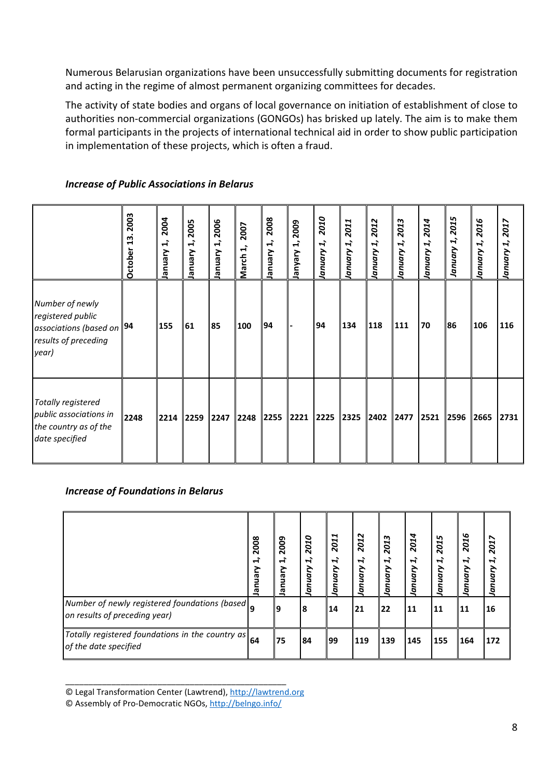Numerous Belarusian organizations have been unsuccessfully submitting documents for registration and acting in the regime of almost permanent organizing committees for decades.

The activity of state bodies and organs of local governance on initiation of establishment of close to authorities non-commercial organizations (GONGOs) has brisked up lately. The aim is to make them formal participants in the projects of international technical aid in order to show public participation in implementation of these projects, which is often a fraud.

|                                                                                                    | 2003<br>$\mathbf{a}$<br>October | 2004<br>$\vec{r}$<br>Vienuel | 2005<br>$\vec{H}$<br>Vienuel | 2006<br>$\vec{r}$<br>Vienuel | 2007<br>March 1, | 2008<br>$\ddot{ }$<br>Vienuel | 2009<br>$\ddot{ }$<br>Vielue | 2010<br>L,<br>January | 2011<br>1,<br>January | 2012<br>January 1, | 2013<br>L,<br>January | 2014<br>January 1, | 2015<br>I,<br>January | 2016<br>January 1, | 2017<br>January 1, |
|----------------------------------------------------------------------------------------------------|---------------------------------|------------------------------|------------------------------|------------------------------|------------------|-------------------------------|------------------------------|-----------------------|-----------------------|--------------------|-----------------------|--------------------|-----------------------|--------------------|--------------------|
| Number of newly<br>registered public<br>associations (based on 94<br>results of preceding<br>year) |                                 | 155                          | 61                           | 85                           | 100              | 94                            |                              | 94                    | 134                   | 118                | 111                   | 70                 | 86                    | 106                | 116                |
| Totally registered<br>public associations in<br>the country as of the<br>date specified            | 2248                            | 2214                         | 2259 2247                    |                              |                  |                               | 2248 2255 2221 2225          |                       | 2325 2402 2477        |                    |                       | $\vert$ 2521       | 2596                  | 2665               | 2731               |

## *Increase of Public Associations in Belarus*

## *Increase of Foundations in Belarus*

|                                                                                                          | 2008<br>$\ddot{ }$<br>lanuary | 2009<br>नं<br>Vienue | 010<br>$\mathbf{\tilde{N}}$<br>$\vec{r}$<br>a<br>ō | 2011<br>$\vec{r}$<br>anuary | 2012<br>H,<br>anuary | 2013<br>$\vec{r}$<br>anuary | 2014<br>ને<br>anuary | Lŋ<br>5<br>$\tilde{\mathbf{N}}$<br>$\vec{r}$<br>5<br>G<br>õ | G<br>201<br>$\vec{r}$<br>5<br>0 | 2017<br>H,<br>anuary |
|----------------------------------------------------------------------------------------------------------|-------------------------------|----------------------|----------------------------------------------------|-----------------------------|----------------------|-----------------------------|----------------------|-------------------------------------------------------------|---------------------------------|----------------------|
| Number of newly registered foundations (based)<br>on results of preceding year)                          |                               | 9                    | 8                                                  | 14                          | 21                   | 22                          | <b>11</b>            | 11                                                          | 11                              | 16                   |
| Totally registered foundations in the country as $\left  \frac{64}{100}\right $<br>of the date specified |                               | 75                   | '84                                                | 199                         | 119                  | 139                         | 145                  | 155                                                         | 164                             | 172                  |

© Legal Transformation Center (Lawtrend), http://lawtrend.org

© Assembly of Pro-Democratic NGOs, http://belngo.info/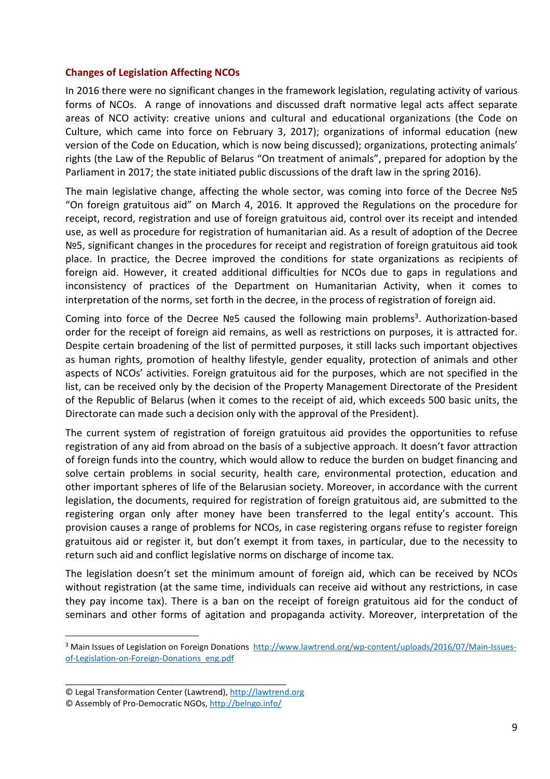#### **Changes of Legislation Affecting NCOs**

In 2016 there were no significant changes in the framework legislation, regulating activity of various forms of NCOs. A range of innovations and discussed draft normative legal acts affect separate areas of NCO activity: creative unions and cultural and educational organizations (the Code on Culture, which came into force on February 3, 2017); organizations of informal education (new version of the Code on Education, which is now being discussed); organizations, protecting animals' rights (the Law of the Republic of Belarus "On treatment of animals", prepared for adoption by the Parliament in 2017; the state initiated public discussions of the draft law in the spring 2016).

The main legislative change, affecting the whole sector, was coming into force of the Decree №5 "On foreign gratuitous aid" on March 4, 2016. It approved the Regulations on the procedure for receipt, record, registration and use of foreign gratuitous aid, control over its receipt and intended use, as well as procedure for registration of humanitarian aid. As a result of adoption of the Decree №5, significant changes in the procedures for receipt and registration of foreign gratuitous aid took place. In practice, the Decree improved the conditions for state organizations as recipients of foreign aid. However, it created additional difficulties for NCOs due to gaps in regulations and inconsistency of practices of the Department on Humanitarian Activity, when it comes to interpretation of the norms, set forth in the decree, in the process of registration of foreign aid.

Coming into force of the Decree Nº5 caused the following main problems<sup>3</sup>. Authorization-based order for the receipt of foreign aid remains, as well as restrictions on purposes, it is attracted for. Despite certain broadening of the list of permitted purposes, it still lacks such important objectives as human rights, promotion of healthy lifestyle, gender equality, protection of animals and other aspects of NCOs' activities. Foreign gratuitous aid for the purposes, which are not specified in the list, can be received only by the decision of the Property Management Directorate of the President of the Republic of Belarus (when it comes to the receipt of aid, which exceeds 500 basic units, the Directorate can made such a decision only with the approval of the President).

The current system of registration of foreign gratuitous aid provides the opportunities to refuse registration of any aid from abroad on the basis of a subjective approach. It doesn't favor attraction of foreign funds into the country, which would allow to reduce the burden on budget financing and solve certain problems in social security, health care, environmental protection, education and other important spheres of life of the Belarusian society. Moreover, in accordance with the current legislation, the documents, required for registration of foreign gratuitous aid, are submitted to the registering organ only after money have been transferred to the legal entity's account. This provision causes a range of problems for NCOs, in case registering organs refuse to register foreign gratuitous aid or register it, but don't exempt it from taxes, in particular, due to the necessity to return such aid and conflict legislative norms on discharge of income tax.

The legislation doesn't set the minimum amount of foreign aid, which can be received by NCOs without registration (at the same time, individuals can receive aid without any restrictions, in case they pay income tax). There is a ban on the receipt of foreign gratuitous aid for the conduct of seminars and other forms of agitation and propaganda activity. Moreover, interpretation of the

\_\_\_\_\_\_\_\_\_\_\_\_\_\_\_\_\_\_\_\_\_\_\_\_\_\_\_\_\_\_\_\_\_\_\_\_\_\_\_\_\_\_\_\_\_\_\_\_

<sup>&</sup>lt;sup>3</sup> Main Issues of Legislation on Foreign Donations http://www.lawtrend.org/wp-content/uploads/2016/07/Main-Issuesof-Legislation-on-Foreign-Donations\_eng.pdf

<sup>©</sup> Legal Transformation Center (Lawtrend), http://lawtrend.org

<sup>©</sup> Assembly of Pro-Democratic NGOs, http://belngo.info/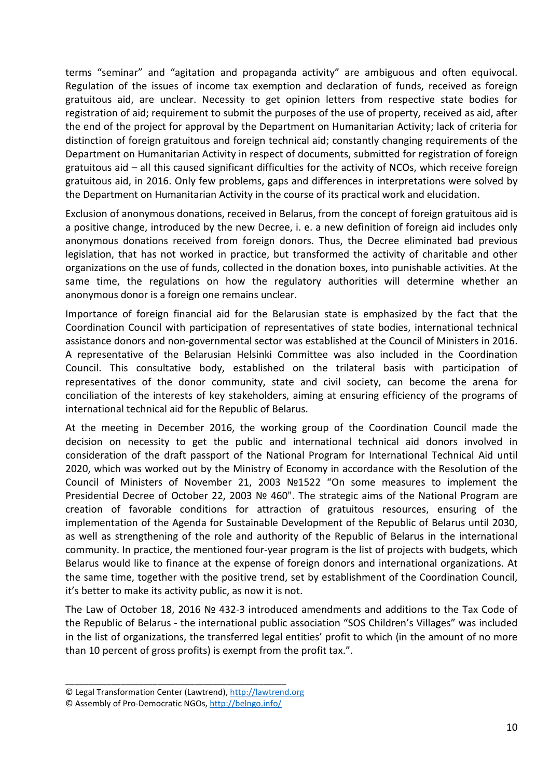terms "seminar" and "agitation and propaganda activity" are ambiguous and often equivocal. Regulation of the issues of income tax exemption and declaration of funds, received as foreign gratuitous aid, are unclear. Necessity to get opinion letters from respective state bodies for registration of aid; requirement to submit the purposes of the use of property, received as aid, after the end of the project for approval by the Department on Humanitarian Activity; lack of criteria for distinction of foreign gratuitous and foreign technical aid; constantly changing requirements of the Department on Humanitarian Activity in respect of documents, submitted for registration of foreign gratuitous aid – all this caused significant difficulties for the activity of NCOs, which receive foreign gratuitous aid, in 2016. Only few problems, gaps and differences in interpretations were solved by the Department on Humanitarian Activity in the course of its practical work and elucidation.

Exclusion of anonymous donations, received in Belarus, from the concept of foreign gratuitous aid is a positive change, introduced by the new Decree, i. e. a new definition of foreign aid includes only anonymous donations received from foreign donors. Thus, the Decree eliminated bad previous legislation, that has not worked in practice, but transformed the activity of charitable and other organizations on the use of funds, collected in the donation boxes, into punishable activities. At the same time, the regulations on how the regulatory authorities will determine whether an anonymous donor is a foreign one remains unclear.

Importance of foreign financial aid for the Belarusian state is emphasized by the fact that the Coordination Council with participation of representatives of state bodies, international technical assistance donors and non-governmental sector was established at the Council of Ministers in 2016. A representative of the Belarusian Helsinki Committee was also included in the Coordination Council. This consultative body, established on the trilateral basis with participation of representatives of the donor community, state and civil society, can become the arena for conciliation of the interests of key stakeholders, aiming at ensuring efficiency of the programs of international technical aid for the Republic of Belarus.

At the meeting in December 2016, the working group of the Coordination Council made the decision on necessity to get the public and international technical aid donors involved in consideration of the draft passport of the National Program for International Technical Aid until 2020, which was worked out by the Ministry of Economy in accordance with the Resolution of the Council of Ministers of November 21, 2003 №1522 "On some measures to implement the Presidential Decree of October 22, 2003 № 460". The strategic aims of the National Program are creation of favorable conditions for attraction of gratuitous resources, ensuring of the implementation of the Agenda for Sustainable Development of the Republic of Belarus until 2030, as well as strengthening of the role and authority of the Republic of Belarus in the international community. In practice, the mentioned four-year program is the list of projects with budgets, which Belarus would like to finance at the expense of foreign donors and international organizations. At the same time, together with the positive trend, set by establishment of the Coordination Council, it's better to make its activity public, as now it is not.

The Law of October 18, 2016 № 432-З introduced amendments and additions to the Tax Code of the Republic of Belarus - the international public association "SOS Children's Villages" was included in the list of organizations, the transferred legal entities' profit to which (in the amount of no more than 10 percent of gross profits) is exempt from the profit tax.".

<sup>©</sup> Legal Transformation Center (Lawtrend), http://lawtrend.org

<sup>©</sup> Assembly of Pro-Democratic NGOs, http://belngo.info/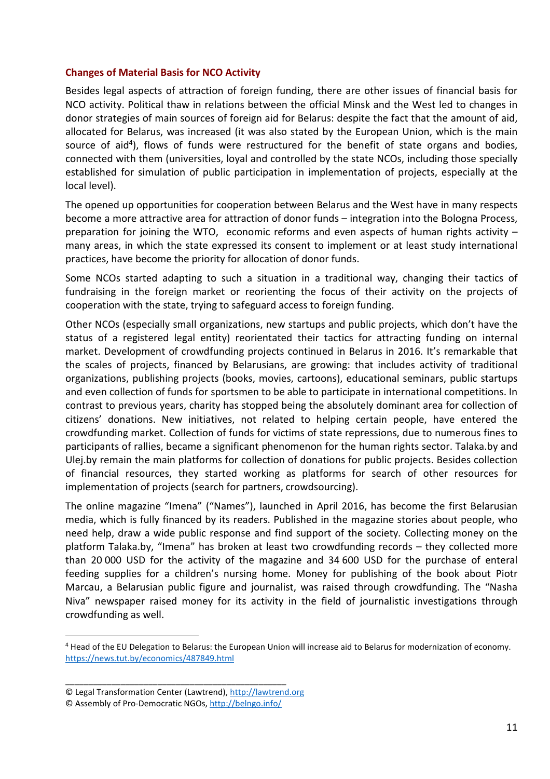#### **Changes of Material Basis for NCO Activity**

Besides legal aspects of attraction of foreign funding, there are other issues of financial basis for NCO activity. Political thaw in relations between the official Minsk and the West led to changes in donor strategies of main sources of foreign aid for Belarus: despite the fact that the amount of aid, allocated for Belarus, was increased (it was also stated by the European Union, which is the main source of aid<sup>4</sup>), flows of funds were restructured for the benefit of state organs and bodies, connected with them (universities, loyal and controlled by the state NCOs, including those specially established for simulation of public participation in implementation of projects, especially at the local level).

The opened up opportunities for cooperation between Belarus and the West have in many respects become a more attractive area for attraction of donor funds – integration into the Bologna Process, preparation for joining the WTO, economic reforms and even aspects of human rights activity – many areas, in which the state expressed its consent to implement or at least study international practices, have become the priority for allocation of donor funds.

Some NCOs started adapting to such a situation in a traditional way, changing their tactics of fundraising in the foreign market or reorienting the focus of their activity on the projects of cooperation with the state, trying to safeguard access to foreign funding.

Other NCOs (especially small organizations, new startups and public projects, which don't have the status of a registered legal entity) reorientated their tactics for attracting funding on internal market. Development of crowdfunding projects continued in Belarus in 2016. It's remarkable that the scales of projects, financed by Belarusians, are growing: that includes activity of traditional organizations, publishing projects (books, movies, cartoons), educational seminars, public startups and even collection of funds for sportsmen to be able to participate in international competitions. In contrast to previous years, charity has stopped being the absolutely dominant area for collection of citizens' donations. New initiatives, not related to helping certain people, have entered the crowdfunding market. Collection of funds for victims of state repressions, due to numerous fines to participants of rallies, became a significant phenomenon for the human rights sector. Talaka.by and Ulej.by remain the main platforms for collection of donations for public projects. Besides collection of financial resources, they started working as platforms for search of other resources for implementation of projects (search for partners, crowdsourcing).

The online magazine "Imena" ("Names"), launched in April 2016, has become the first Belarusian media, which is fully financed by its readers. Published in the magazine stories about people, who need help, draw a wide public response and find support of the society. Collecting money on the platform Talaka.by, "Imena" has broken at least two crowdfunding records – they collected more than 20 000 USD for the activity of the magazine and 34 600 USD for the purchase of enteral feeding supplies for a children's nursing home. Money for publishing of the book about Piotr Marcau, a Belarusian public figure and journalist, was raised through crowdfunding. The "Nasha Niva" newspaper raised money for its activity in the field of journalistic investigations through crowdfunding as well.

\_\_\_\_\_\_\_\_\_\_\_\_\_\_\_\_\_\_\_\_\_\_\_\_\_\_\_\_\_\_\_\_\_\_\_\_\_\_\_\_\_\_\_\_\_\_\_\_

<sup>&</sup>lt;sup>4</sup> Head of the EU Delegation to Belarus: the European Union will increase aid to Belarus for modernization of economy. https://news.tut.by/economics/487849.html

<sup>©</sup> Legal Transformation Center (Lawtrend), http://lawtrend.org

<sup>©</sup> Assembly of Pro-Democratic NGOs, http://belngo.info/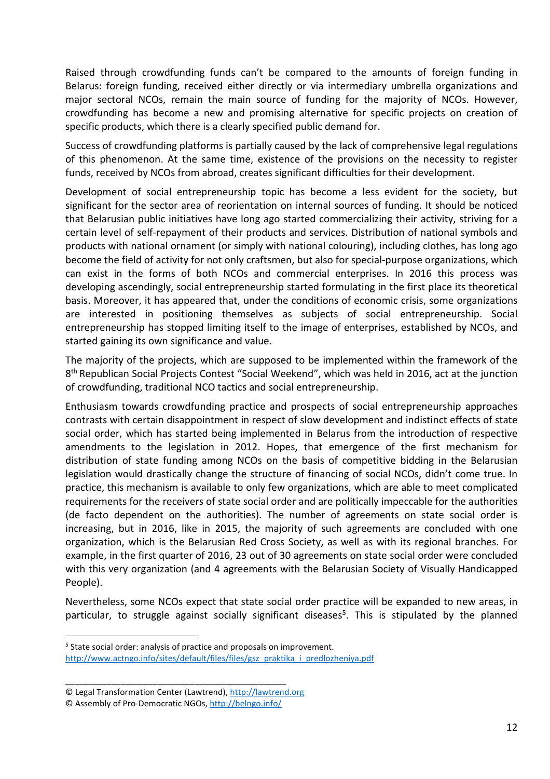Raised through crowdfunding funds can't be compared to the amounts of foreign funding in Belarus: foreign funding, received either directly or via intermediary umbrella organizations and major sectoral NCOs, remain the main source of funding for the majority of NCOs. However, crowdfunding has become a new and promising alternative for specific projects on creation of specific products, which there is a clearly specified public demand for.

Success of crowdfunding platforms is partially caused by the lack of comprehensive legal regulations of this phenomenon. At the same time, existence of the provisions on the necessity to register funds, received by NCOs from abroad, creates significant difficulties for their development.

Development of social entrepreneurship topic has become a less evident for the society, but significant for the sector area of reorientation on internal sources of funding. It should be noticed that Belarusian public initiatives have long ago started commercializing their activity, striving for a certain level of self-repayment of their products and services. Distribution of national symbols and products with national ornament (or simply with national colouring), including clothes, has long ago become the field of activity for not only craftsmen, but also for special-purpose organizations, which can exist in the forms of both NCOs and commercial enterprises. In 2016 this process was developing ascendingly, social entrepreneurship started formulating in the first place its theoretical basis. Moreover, it has appeared that, under the conditions of economic crisis, some organizations are interested in positioning themselves as subjects of social entrepreneurship. Social entrepreneurship has stopped limiting itself to the image of enterprises, established by NCOs, and started gaining its own significance and value.

The majority of the projects, which are supposed to be implemented within the framework of the 8<sup>th</sup> Republican Social Projects Contest "Social Weekend", which was held in 2016, act at the junction of crowdfunding, traditional NCO tactics and social entrepreneurship.

Enthusiasm towards crowdfunding practice and prospects of social entrepreneurship approaches contrasts with certain disappointment in respect of slow development and indistinct effects of state social order, which has started being implemented in Belarus from the introduction of respective amendments to the legislation in 2012. Hopes, that emergence of the first mechanism for distribution of state funding among NCOs on the basis of competitive bidding in the Belarusian legislation would drastically change the structure of financing of social NCOs, didn't come true. In practice, this mechanism is available to only few organizations, which are able to meet complicated requirements for the receivers of state social order and are politically impeccable for the authorities (de facto dependent on the authorities). The number of agreements on state social order is increasing, but in 2016, like in 2015, the majority of such agreements are concluded with one organization, which is the Belarusian Red Cross Society, as well as with its regional branches. For example, in the first quarter of 2016, 23 out of 30 agreements on state social order were concluded with this very organization (and 4 agreements with the Belarusian Society of Visually Handicapped People).

Nevertheless, some NCOs expect that state social order practice will be expanded to new areas, in particular, to struggle against socially significant diseases<sup>5</sup>. This is stipulated by the planned

\_\_\_\_\_\_\_\_\_\_\_\_\_\_\_\_\_\_\_\_\_\_\_\_\_\_\_\_\_\_\_\_\_\_\_\_\_\_\_\_\_\_\_\_\_\_\_\_

<sup>&</sup>lt;sup>5</sup> State social order: analysis of practice and proposals on improvement. http://www.actngo.info/sites/default/files/files/gsz\_praktika\_i\_predlozheniya.pdf

<sup>©</sup> Legal Transformation Center (Lawtrend), http://lawtrend.org

<sup>©</sup> Assembly of Pro-Democratic NGOs, http://belngo.info/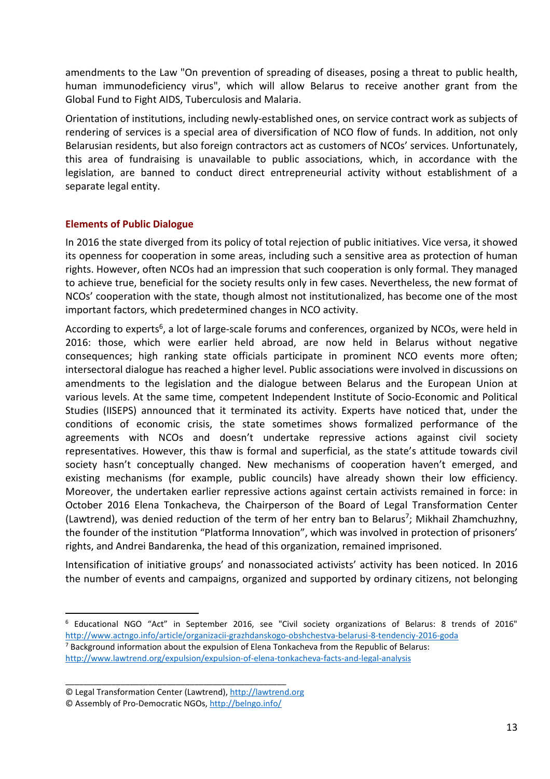amendments to the Law "On prevention of spreading of diseases, posing a threat to public health, human immunodeficiency virus", which will allow Belarus to receive another grant from the Global Fund to Fight AIDS, Tuberculosis and Malaria.

Orientation of institutions, including newly-established ones, on service contract work as subjects of rendering of services is a special area of diversification of NCO flow of funds. In addition, not only Belarusian residents, but also foreign contractors act as customers of NCOs' services. Unfortunately, this area of fundraising is unavailable to public associations, which, in accordance with the legislation, are banned to conduct direct entrepreneurial activity without establishment of a separate legal entity.

## **Elements of Public Dialogue**

In 2016 the state diverged from its policy of total rejection of public initiatives. Vice versa, it showed its openness for cooperation in some areas, including such a sensitive area as protection of human rights. However, often NCOs had an impression that such cooperation is only formal. They managed to achieve true, beneficial for the society results only in few cases. Nevertheless, the new format of NCOs' cooperation with the state, though almost not institutionalized, has become one of the most important factors, which predetermined changes in NCO activity.

According to experts<sup>6</sup>, a lot of large-scale forums and conferences, organized by NCOs, were held in 2016: those, which were earlier held abroad, are now held in Belarus without negative consequences; high ranking state officials participate in prominent NCO events more often; intersectoral dialogue has reached a higher level. Public associations were involved in discussions on amendments to the legislation and the dialogue between Belarus and the European Union at various levels. At the same time, competent Independent Institute of Socio-Economic and Political Studies (IISEPS) announced that it terminated its activity. Experts have noticed that, under the conditions of economic crisis, the state sometimes shows formalized performance of the agreements with NCOs and doesn't undertake repressive actions against civil society representatives. However, this thaw is formal and superficial, as the state's attitude towards civil society hasn't conceptually changed. New mechanisms of cooperation haven't emerged, and existing mechanisms (for example, public councils) have already shown their low efficiency. Moreover, the undertaken earlier repressive actions against certain activists remained in force: in October 2016 Elena Tonkacheva, the Chairperson of the Board of Legal Transformation Center (Lawtrend), was denied reduction of the term of her entry ban to Belarus<sup>7</sup>; Mikhail Zhamchuzhny, the founder of the institution "Platforma Innovation", which was involved in protection of prisoners' rights, and Andrei Bandarenka, the head of this organization, remained imprisoned.

Intensification of initiative groups' and nonassociated activists' activity has been noticed. In 2016 the number of events and campaigns, organized and supported by ordinary citizens, not belonging

\_\_\_\_\_\_\_\_\_\_\_\_\_\_\_\_\_\_\_\_\_\_\_\_\_\_\_\_\_\_\_\_\_\_\_\_\_\_\_\_\_\_\_\_\_\_\_\_

<sup>6</sup> Educational NGO "Act" in September 2016, see "Civil society organizations of Belarus: 8 trends of 2016" http://www.actngo.info/article/organizacii-grazhdanskogo-obshchestva-belarusi-8-tendenciy-2016-goda <sup>7</sup> Background information about the expulsion of Elena Tonkacheva from the Republic of Belarus: http://www.lawtrend.org/expulsion/expulsion-of-elena-tonkacheva-facts-and-legal-analysis

<sup>©</sup> Legal Transformation Center (Lawtrend), http://lawtrend.org

<sup>©</sup> Assembly of Pro-Democratic NGOs, http://belngo.info/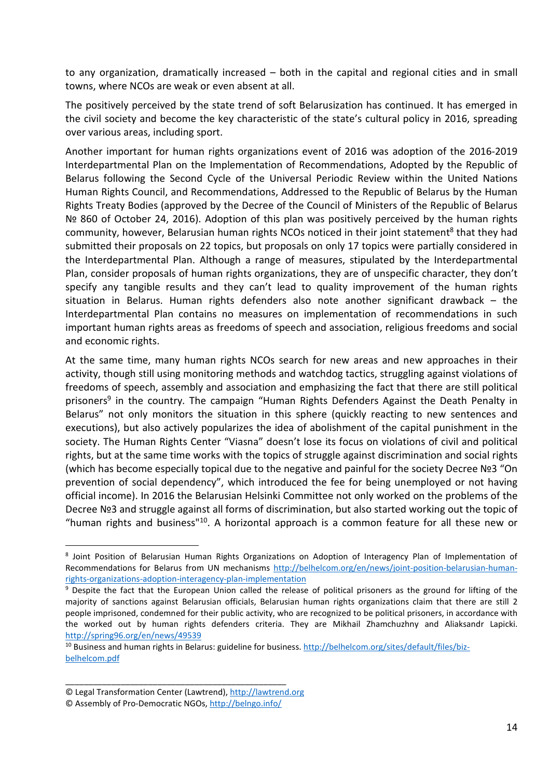to any organization, dramatically increased – both in the capital and regional cities and in small towns, where NCOs are weak or even absent at all.

The positively perceived by the state trend of soft Belarusization has continued. It has emerged in the civil society and become the key characteristic of the state's cultural policy in 2016, spreading over various areas, including sport.

Another important for human rights organizations event of 2016 was adoption of the 2016-2019 Interdepartmental Plan on the Implementation of Recommendations, Adopted by the Republic of Belarus following the Second Cycle of the Universal Periodic Review within the United Nations Human Rights Council, and Recommendations, Addressed to the Republic of Belarus by the Human Rights Treaty Bodies (approved by the Decree of the Council of Ministers of the Republic of Belarus Nº 860 of October 24, 2016). Adoption of this plan was positively perceived by the human rights community, however, Belarusian human rights NCOs noticed in their joint statement<sup>8</sup> that they had submitted their proposals on 22 topics, but proposals on only 17 topics were partially considered in the Interdepartmental Plan. Although a range of measures, stipulated by the Interdepartmental Plan, consider proposals of human rights organizations, they are of unspecific character, they don't specify any tangible results and they can't lead to quality improvement of the human rights situation in Belarus. Human rights defenders also note another significant drawback – the Interdepartmental Plan contains no measures on implementation of recommendations in such important human rights areas as freedoms of speech and association, religious freedoms and social and economic rights.

At the same time, many human rights NCOs search for new areas and new approaches in their activity, though still using monitoring methods and watchdog tactics, struggling against violations of freedoms of speech, assembly and association and emphasizing the fact that there are still political prisoners<sup>9</sup> in the country. The campaign "Human Rights Defenders Against the Death Penalty in Belarus" not only monitors the situation in this sphere (quickly reacting to new sentences and executions), but also actively popularizes the idea of abolishment of the capital punishment in the society. The Human Rights Center "Viasna" doesn't lose its focus on violations of civil and political rights, but at the same time works with the topics of struggle against discrimination and social rights (which has become especially topical due to the negative and painful for the society Decree №3 "On prevention of social dependency", which introduced the fee for being unemployed or not having official income). In 2016 the Belarusian Helsinki Committee not only worked on the problems of the Decree №3 and struggle against all forms of discrimination, but also started working out the topic of "human rights and business" $10$ . A horizontal approach is a common feature for all these new or

\_\_\_\_\_\_\_\_\_\_\_\_\_\_\_\_\_\_\_\_\_\_\_\_\_\_\_\_\_\_\_\_\_\_\_\_\_\_\_\_\_\_\_\_\_\_\_\_

<sup>&</sup>lt;sup>8</sup> Joint Position of Belarusian Human Rights Organizations on Adoption of Interagency Plan of Implementation of Recommendations for Belarus from UN mechanisms http://belhelcom.org/en/news/joint-position-belarusian-humanrights-organizations-adoption-interagency-plan-implementation

<sup>&</sup>lt;sup>9</sup> Despite the fact that the European Union called the release of political prisoners as the ground for lifting of the majority of sanctions against Belarusian officials, Belarusian human rights organizations claim that there are still 2 people imprisoned, condemned for their public activity, who are recognized to be political prisoners, in accordance with the worked out by human rights defenders criteria. They are Mikhail Zhamchuzhny and Aliaksandr Lapicki. http://spring96.org/en/news/49539

<sup>&</sup>lt;sup>10</sup> Business and human rights in Belarus: guideline for business. http://belhelcom.org/sites/default/files/bizbelhelcom.pdf

<sup>©</sup> Legal Transformation Center (Lawtrend), http://lawtrend.org

<sup>©</sup> Assembly of Pro-Democratic NGOs, http://belngo.info/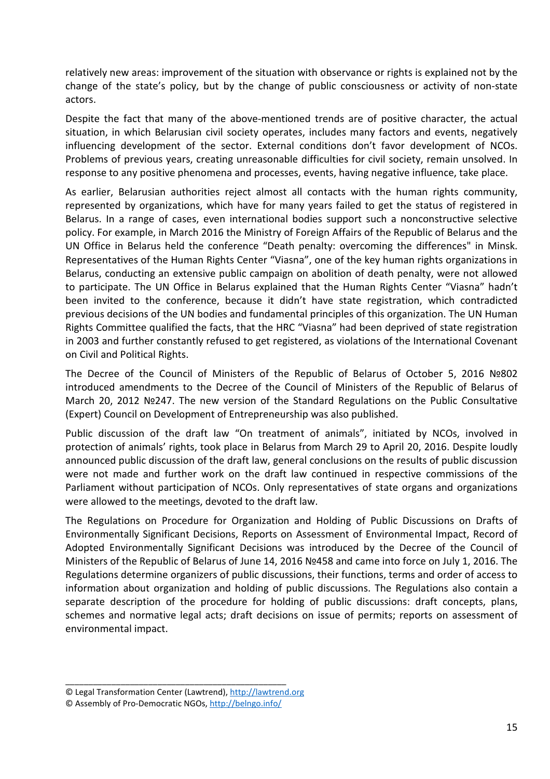relatively new areas: improvement of the situation with observance or rights is explained not by the change of the state's policy, but by the change of public consciousness or activity of non-state actors.

Despite the fact that many of the above-mentioned trends are of positive character, the actual situation, in which Belarusian civil society operates, includes many factors and events, negatively influencing development of the sector. External conditions don't favor development of NCOs. Problems of previous years, creating unreasonable difficulties for civil society, remain unsolved. In response to any positive phenomena and processes, events, having negative influence, take place.

As earlier, Belarusian authorities reject almost all contacts with the human rights community, represented by organizations, which have for many years failed to get the status of registered in Belarus. In a range of cases, even international bodies support such a nonconstructive selective policy. For example, in March 2016 the Ministry of Foreign Affairs of the Republic of Belarus and the UN Office in Belarus held the conference "Death penalty: overcoming the differences" in Minsk. Representatives of the Human Rights Center "Viasna", one of the key human rights organizations in Belarus, conducting an extensive public campaign on abolition of death penalty, were not allowed to participate. The UN Office in Belarus explained that the Human Rights Center "Viasna" hadn't been invited to the conference, because it didn't have state registration, which contradicted previous decisions of the UN bodies and fundamental principles of this organization. The UN Human Rights Committee qualified the facts, that the HRC "Viasna" had been deprived of state registration in 2003 and further constantly refused to get registered, as violations of the International Covenant on Civil and Political Rights.

The Decree of the Council of Ministers of the Republic of Belarus of October 5, 2016 №802 introduced amendments to the Decree of the Council of Ministers of the Republic of Belarus of March 20, 2012 №247. The new version of the Standard Regulations on the Public Consultative (Expert) Council on Development of Entrepreneurship was also published.

Public discussion of the draft law "On treatment of animals", initiated by NCOs, involved in protection of animals' rights, took place in Belarus from March 29 to April 20, 2016. Despite loudly announced public discussion of the draft law, general conclusions on the results of public discussion were not made and further work on the draft law continued in respective commissions of the Parliament without participation of NCOs. Only representatives of state organs and organizations were allowed to the meetings, devoted to the draft law.

The Regulations on Procedure for Organization and Holding of Public Discussions on Drafts of Environmentally Significant Decisions, Reports on Assessment of Environmental Impact, Record of Adopted Environmentally Significant Decisions was introduced by the Decree of the Council of Ministers of the Republic of Belarus of June 14, 2016 №458 and came into force on July 1, 2016. The Regulations determine organizers of public discussions, their functions, terms and order of access to information about organization and holding of public discussions. The Regulations also contain a separate description of the procedure for holding of public discussions: draft concepts, plans, schemes and normative legal acts; draft decisions on issue of permits; reports on assessment of environmental impact.

<sup>©</sup> Legal Transformation Center (Lawtrend), http://lawtrend.org

<sup>©</sup> Assembly of Pro-Democratic NGOs, http://belngo.info/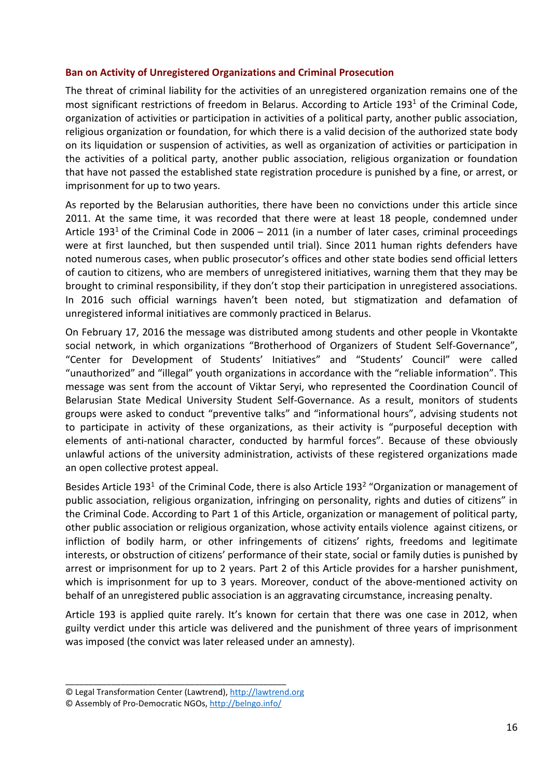## **Ban on Activity of Unregistered Organizations and Criminal Prosecution**

The threat of criminal liability for the activities of an unregistered organization remains one of the most significant restrictions of freedom in Belarus. According to Article 193<sup>1</sup> of the Criminal Code, organization of activities or participation in activities of a political party, another public association, religious organization or foundation, for which there is a valid decision of the authorized state body on its liquidation or suspension of activities, as well as organization of activities or participation in the activities of a political party, another public association, religious organization or foundation that have not passed the established state registration procedure is punished by a fine, or arrest, or imprisonment for up to two years.

As reported by the Belarusian authorities, there have been no convictions under this article since 2011. At the same time, it was recorded that there were at least 18 people, condemned under Article 193<sup>1</sup> of the Criminal Code in 2006 – 2011 (in a number of later cases, criminal proceedings were at first launched, but then suspended until trial). Since 2011 human rights defenders have noted numerous cases, when public prosecutor's offices and other state bodies send official letters of caution to citizens, who are members of unregistered initiatives, warning them that they may be brought to criminal responsibility, if they don't stop their participation in unregistered associations. In 2016 such official warnings haven't been noted, but stigmatization and defamation of unregistered informal initiatives are commonly practiced in Belarus.

On February 17, 2016 the message was distributed among students and other people in Vkontakte social network, in which organizations "Brotherhood of Organizers of Student Self-Governance", "Center for Development of Students' Initiatives" and "Students' Council" were called "unauthorized" and "illegal" youth organizations in accordance with the "reliable information". This message was sent from the account of Viktar Seryi, who represented the Coordination Council of Belarusian State Medical University Student Self-Governance. As a result, monitors of students groups were asked to conduct "preventive talks" and "informational hours", advising students not to participate in activity of these organizations, as their activity is "purposeful deception with elements of anti-national character, conducted by harmful forces". Because of these obviously unlawful actions of the university administration, activists of these registered organizations made an open collective protest appeal.

Besides Article 193<sup>1</sup> of the Criminal Code, there is also Article 193<sup>2</sup> "Organization or management of public association, religious organization, infringing on personality, rights and duties of citizens" in the Criminal Code. According to Part 1 of this Article, organization or management of political party, other public association or religious organization, whose activity entails violence against citizens, or infliction of bodily harm, or other infringements of citizens' rights, freedoms and legitimate interests, or obstruction of citizens' performance of their state, social or family duties is punished by arrest or imprisonment for up to 2 years. Part 2 of this Article provides for a harsher punishment, which is imprisonment for up to 3 years. Moreover, conduct of the above-mentioned activity on behalf of an unregistered public association is an aggravating circumstance, increasing penalty.

Article 193 is applied quite rarely. It's known for certain that there was one case in 2012, when guilty verdict under this article was delivered and the punishment of three years of imprisonment was imposed (the convict was later released under an amnesty).

<sup>©</sup> Legal Transformation Center (Lawtrend), http://lawtrend.org

<sup>©</sup> Assembly of Pro-Democratic NGOs, http://belngo.info/